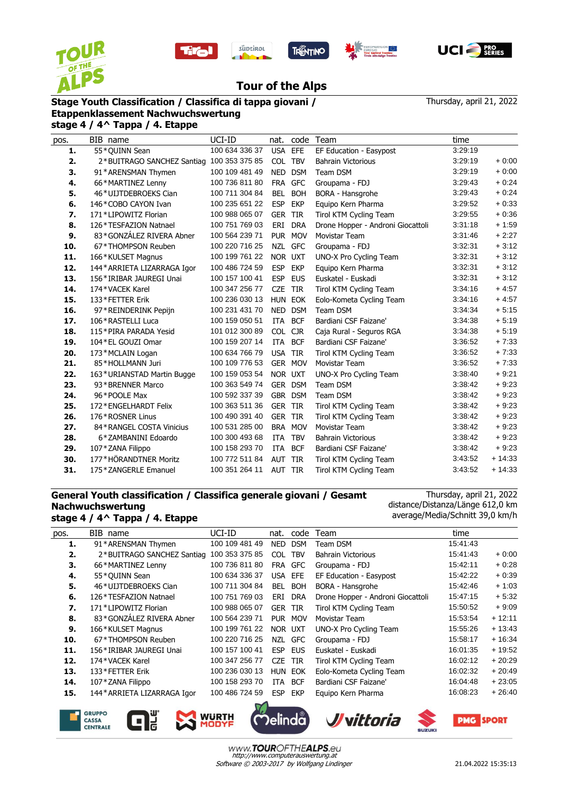









Thursday, april 21, 2022

## **Tour of the Alps**

## **Stage Youth Classification / Classifica di tappa giovani / Etappenklassement Nachwuchswertung**

**stage 4 / 4^ Tappa / 4. Etappe**

| 3:29:19<br>55*QUINN Sean<br>100 634 336 37<br>USA EFE<br>EF Education - Easypost<br>1.<br>COL TBV<br>3:29:19<br>2.<br>2*BUITRAGO SANCHEZ Santiag 100 353 375 85<br><b>Bahrain Victorious</b><br>100 109 481 49<br>NED DSM<br>3:29:19<br>3.<br>Team DSM<br>91*ARENSMAN Thymen<br>100 736 811 80<br><b>GFC</b><br>3:29:43<br>66*MARTINEZ Lenny<br>FRA<br>Groupama - FDJ<br>4.<br>46*UIJTDEBROEKS Cian<br>100 711 304 84<br><b>BEL</b><br><b>BOH</b><br>3:29:43<br>BORA - Hansgrohe<br>5.<br>100 235 651 22<br><b>ESP</b><br><b>EKP</b><br>Equipo Kern Pharma<br>3:29:52<br>146*COBO CAYON Ivan<br>6.<br>3:29:55<br>171*LIPOWITZ Florian<br>100 988 065 07<br><b>GER</b><br><b>TIR</b><br>Tirol KTM Cycling Team<br>7.<br>8.<br>126*TESFAZION Natnael<br>100 751 769 03<br>ERI<br><b>DRA</b><br>3:31:18<br>Drone Hopper - Androni Giocattoli<br>83*GONZÁLEZ RIVERA Abner<br>PUR MOV<br>3:31:46<br>9.<br>100 564 239 71<br>Movistar Team<br>67*THOMPSON Reuben<br>NZL GFC<br>10.<br>100 220 716 25<br>Groupama - FDJ<br>3:32:31<br>3:32:31<br>100 199 761 22<br>NOR UXT<br>11.<br>166*KULSET Magnus<br>UNO-X Pro Cycling Team<br>100 486 724 59<br><b>ESP</b><br>3:32:31<br>12.<br>144* ARRIETA LIZARRAGA Igor<br><b>EKP</b><br>Equipo Kern Pharma<br>3:32:31<br>13.<br>100 157 100 41<br><b>ESP</b><br><b>EUS</b><br>156*IRIBAR JAUREGI Unai<br>Euskatel - Euskadi<br>100 347 256 77<br>TIR<br>3:34:16<br>14.<br>174*VACEK Karel<br><b>CZE</b><br>Tirol KTM Cycling Team<br><b>HUN EOK</b><br>3:34:16<br>15.<br>133*FETTER Erik<br>100 236 030 13<br>Eolo-Kometa Cycling Team<br><b>DSM</b><br>16.<br>97*REINDERINK Pepijn<br>100 231 431 70<br><b>NED</b><br>Team DSM<br>3:34:34<br><b>BCF</b><br>3:34:38<br>17.<br>106*RASTELLI Luca<br>100 159 050 51<br>ITA<br>Bardiani CSF Faizane'<br><b>CJR</b><br>18.<br>115*PIRA PARADA Yesid<br>101 012 300 89<br><b>COL</b><br>Caja Rural - Seguros RGA<br>3:34:38<br>100 159 207 14<br>3:36:52<br>19.<br>104*EL GOUZI Omar<br>ITA<br><b>BCF</b><br>Bardiani CSF Faizane'<br>100 634 766 79<br>3:36:52<br>20.<br><b>USA</b><br><b>TIR</b><br>173*MCLAIN Logan<br>Tirol KTM Cycling Team<br>100 109 776 53<br>GER MOV<br>3:36:52<br>21.<br>85*HOLLMANN Juri<br>Movistar Team<br>22.<br>100 159 053 54<br>3:38:40<br>163*URIANSTAD Martin Bugge<br>NOR UXT<br>UNO-X Pro Cycling Team<br>3:38:42<br>23.<br>GER DSM<br>93*BRENNER Marco<br>100 363 549 74<br>Team DSM<br>GBR DSM<br>3:38:42<br>24.<br>96*POOLE Max<br>100 592 337 39<br>Team DSM<br>25.<br>GER TIR<br>3:38:42<br>172*ENGELHARDT Felix<br>100 363 511 36<br>Tirol KTM Cycling Team<br>26.<br>100 490 391 40<br><b>GER TIR</b><br>Tirol KTM Cycling Team<br>3:38:42<br>176*ROSNER Linus<br>27.<br>84 * RANGEL COSTA Vinicius<br>100 531 285 00<br>BRA MOV<br>Movistar Team<br>3:38:42<br>100 300 493 68<br>3:38:42<br>28.<br>ITA<br><b>TBV</b><br>6*ZAMBANINI Edoardo<br><b>Bahrain Victorious</b><br>100 158 293 70<br>3:38:42<br>29.<br>107*ZANA Filippo<br><b>BCF</b><br>ITA<br>Bardiani CSF Faizane'<br>177*HÖRANDTNER Moritz<br>100 772 511 84<br>3:43:52<br>AUT TIR<br>30.<br>Tirol KTM Cycling Team<br>3:43:52<br>31.<br>175*ZANGERLE Emanuel<br>AUT TIR<br>Tirol KTM Cycling Team<br>100 351 264 11 | pos. | BIB name | UCI-ID | nat. | code | Team | time |          |
|---------------------------------------------------------------------------------------------------------------------------------------------------------------------------------------------------------------------------------------------------------------------------------------------------------------------------------------------------------------------------------------------------------------------------------------------------------------------------------------------------------------------------------------------------------------------------------------------------------------------------------------------------------------------------------------------------------------------------------------------------------------------------------------------------------------------------------------------------------------------------------------------------------------------------------------------------------------------------------------------------------------------------------------------------------------------------------------------------------------------------------------------------------------------------------------------------------------------------------------------------------------------------------------------------------------------------------------------------------------------------------------------------------------------------------------------------------------------------------------------------------------------------------------------------------------------------------------------------------------------------------------------------------------------------------------------------------------------------------------------------------------------------------------------------------------------------------------------------------------------------------------------------------------------------------------------------------------------------------------------------------------------------------------------------------------------------------------------------------------------------------------------------------------------------------------------------------------------------------------------------------------------------------------------------------------------------------------------------------------------------------------------------------------------------------------------------------------------------------------------------------------------------------------------------------------------------------------------------------------------------------------------------------------------------------------------------------------------------------------------------------------------------------------------------------------------------------------------------------------------------------------------------------------------------------------------------------------------------------------------------------------------------------------------------------------------------------------------------------------------------------------------------------------------------------------------------------------|------|----------|--------|------|------|------|------|----------|
|                                                                                                                                                                                                                                                                                                                                                                                                                                                                                                                                                                                                                                                                                                                                                                                                                                                                                                                                                                                                                                                                                                                                                                                                                                                                                                                                                                                                                                                                                                                                                                                                                                                                                                                                                                                                                                                                                                                                                                                                                                                                                                                                                                                                                                                                                                                                                                                                                                                                                                                                                                                                                                                                                                                                                                                                                                                                                                                                                                                                                                                                                                                                                                                                               |      |          |        |      |      |      |      |          |
|                                                                                                                                                                                                                                                                                                                                                                                                                                                                                                                                                                                                                                                                                                                                                                                                                                                                                                                                                                                                                                                                                                                                                                                                                                                                                                                                                                                                                                                                                                                                                                                                                                                                                                                                                                                                                                                                                                                                                                                                                                                                                                                                                                                                                                                                                                                                                                                                                                                                                                                                                                                                                                                                                                                                                                                                                                                                                                                                                                                                                                                                                                                                                                                                               |      |          |        |      |      |      |      | $+0:00$  |
|                                                                                                                                                                                                                                                                                                                                                                                                                                                                                                                                                                                                                                                                                                                                                                                                                                                                                                                                                                                                                                                                                                                                                                                                                                                                                                                                                                                                                                                                                                                                                                                                                                                                                                                                                                                                                                                                                                                                                                                                                                                                                                                                                                                                                                                                                                                                                                                                                                                                                                                                                                                                                                                                                                                                                                                                                                                                                                                                                                                                                                                                                                                                                                                                               |      |          |        |      |      |      |      | $+0:00$  |
|                                                                                                                                                                                                                                                                                                                                                                                                                                                                                                                                                                                                                                                                                                                                                                                                                                                                                                                                                                                                                                                                                                                                                                                                                                                                                                                                                                                                                                                                                                                                                                                                                                                                                                                                                                                                                                                                                                                                                                                                                                                                                                                                                                                                                                                                                                                                                                                                                                                                                                                                                                                                                                                                                                                                                                                                                                                                                                                                                                                                                                                                                                                                                                                                               |      |          |        |      |      |      |      | $+0.24$  |
|                                                                                                                                                                                                                                                                                                                                                                                                                                                                                                                                                                                                                                                                                                                                                                                                                                                                                                                                                                                                                                                                                                                                                                                                                                                                                                                                                                                                                                                                                                                                                                                                                                                                                                                                                                                                                                                                                                                                                                                                                                                                                                                                                                                                                                                                                                                                                                                                                                                                                                                                                                                                                                                                                                                                                                                                                                                                                                                                                                                                                                                                                                                                                                                                               |      |          |        |      |      |      |      | $+0.24$  |
|                                                                                                                                                                                                                                                                                                                                                                                                                                                                                                                                                                                                                                                                                                                                                                                                                                                                                                                                                                                                                                                                                                                                                                                                                                                                                                                                                                                                                                                                                                                                                                                                                                                                                                                                                                                                                                                                                                                                                                                                                                                                                                                                                                                                                                                                                                                                                                                                                                                                                                                                                                                                                                                                                                                                                                                                                                                                                                                                                                                                                                                                                                                                                                                                               |      |          |        |      |      |      |      | $+0.33$  |
|                                                                                                                                                                                                                                                                                                                                                                                                                                                                                                                                                                                                                                                                                                                                                                                                                                                                                                                                                                                                                                                                                                                                                                                                                                                                                                                                                                                                                                                                                                                                                                                                                                                                                                                                                                                                                                                                                                                                                                                                                                                                                                                                                                                                                                                                                                                                                                                                                                                                                                                                                                                                                                                                                                                                                                                                                                                                                                                                                                                                                                                                                                                                                                                                               |      |          |        |      |      |      |      | $+0.36$  |
|                                                                                                                                                                                                                                                                                                                                                                                                                                                                                                                                                                                                                                                                                                                                                                                                                                                                                                                                                                                                                                                                                                                                                                                                                                                                                                                                                                                                                                                                                                                                                                                                                                                                                                                                                                                                                                                                                                                                                                                                                                                                                                                                                                                                                                                                                                                                                                                                                                                                                                                                                                                                                                                                                                                                                                                                                                                                                                                                                                                                                                                                                                                                                                                                               |      |          |        |      |      |      |      | $+1:59$  |
|                                                                                                                                                                                                                                                                                                                                                                                                                                                                                                                                                                                                                                                                                                                                                                                                                                                                                                                                                                                                                                                                                                                                                                                                                                                                                                                                                                                                                                                                                                                                                                                                                                                                                                                                                                                                                                                                                                                                                                                                                                                                                                                                                                                                                                                                                                                                                                                                                                                                                                                                                                                                                                                                                                                                                                                                                                                                                                                                                                                                                                                                                                                                                                                                               |      |          |        |      |      |      |      | $+2:27$  |
|                                                                                                                                                                                                                                                                                                                                                                                                                                                                                                                                                                                                                                                                                                                                                                                                                                                                                                                                                                                                                                                                                                                                                                                                                                                                                                                                                                                                                                                                                                                                                                                                                                                                                                                                                                                                                                                                                                                                                                                                                                                                                                                                                                                                                                                                                                                                                                                                                                                                                                                                                                                                                                                                                                                                                                                                                                                                                                                                                                                                                                                                                                                                                                                                               |      |          |        |      |      |      |      | $+3:12$  |
|                                                                                                                                                                                                                                                                                                                                                                                                                                                                                                                                                                                                                                                                                                                                                                                                                                                                                                                                                                                                                                                                                                                                                                                                                                                                                                                                                                                                                                                                                                                                                                                                                                                                                                                                                                                                                                                                                                                                                                                                                                                                                                                                                                                                                                                                                                                                                                                                                                                                                                                                                                                                                                                                                                                                                                                                                                                                                                                                                                                                                                                                                                                                                                                                               |      |          |        |      |      |      |      | $+3:12$  |
|                                                                                                                                                                                                                                                                                                                                                                                                                                                                                                                                                                                                                                                                                                                                                                                                                                                                                                                                                                                                                                                                                                                                                                                                                                                                                                                                                                                                                                                                                                                                                                                                                                                                                                                                                                                                                                                                                                                                                                                                                                                                                                                                                                                                                                                                                                                                                                                                                                                                                                                                                                                                                                                                                                                                                                                                                                                                                                                                                                                                                                                                                                                                                                                                               |      |          |        |      |      |      |      | $+3:12$  |
|                                                                                                                                                                                                                                                                                                                                                                                                                                                                                                                                                                                                                                                                                                                                                                                                                                                                                                                                                                                                                                                                                                                                                                                                                                                                                                                                                                                                                                                                                                                                                                                                                                                                                                                                                                                                                                                                                                                                                                                                                                                                                                                                                                                                                                                                                                                                                                                                                                                                                                                                                                                                                                                                                                                                                                                                                                                                                                                                                                                                                                                                                                                                                                                                               |      |          |        |      |      |      |      | $+3:12$  |
|                                                                                                                                                                                                                                                                                                                                                                                                                                                                                                                                                                                                                                                                                                                                                                                                                                                                                                                                                                                                                                                                                                                                                                                                                                                                                                                                                                                                                                                                                                                                                                                                                                                                                                                                                                                                                                                                                                                                                                                                                                                                                                                                                                                                                                                                                                                                                                                                                                                                                                                                                                                                                                                                                                                                                                                                                                                                                                                                                                                                                                                                                                                                                                                                               |      |          |        |      |      |      |      | $+4:57$  |
|                                                                                                                                                                                                                                                                                                                                                                                                                                                                                                                                                                                                                                                                                                                                                                                                                                                                                                                                                                                                                                                                                                                                                                                                                                                                                                                                                                                                                                                                                                                                                                                                                                                                                                                                                                                                                                                                                                                                                                                                                                                                                                                                                                                                                                                                                                                                                                                                                                                                                                                                                                                                                                                                                                                                                                                                                                                                                                                                                                                                                                                                                                                                                                                                               |      |          |        |      |      |      |      | $+4:57$  |
|                                                                                                                                                                                                                                                                                                                                                                                                                                                                                                                                                                                                                                                                                                                                                                                                                                                                                                                                                                                                                                                                                                                                                                                                                                                                                                                                                                                                                                                                                                                                                                                                                                                                                                                                                                                                                                                                                                                                                                                                                                                                                                                                                                                                                                                                                                                                                                                                                                                                                                                                                                                                                                                                                                                                                                                                                                                                                                                                                                                                                                                                                                                                                                                                               |      |          |        |      |      |      |      | $+5:15$  |
|                                                                                                                                                                                                                                                                                                                                                                                                                                                                                                                                                                                                                                                                                                                                                                                                                                                                                                                                                                                                                                                                                                                                                                                                                                                                                                                                                                                                                                                                                                                                                                                                                                                                                                                                                                                                                                                                                                                                                                                                                                                                                                                                                                                                                                                                                                                                                                                                                                                                                                                                                                                                                                                                                                                                                                                                                                                                                                                                                                                                                                                                                                                                                                                                               |      |          |        |      |      |      |      | $+5:19$  |
|                                                                                                                                                                                                                                                                                                                                                                                                                                                                                                                                                                                                                                                                                                                                                                                                                                                                                                                                                                                                                                                                                                                                                                                                                                                                                                                                                                                                                                                                                                                                                                                                                                                                                                                                                                                                                                                                                                                                                                                                                                                                                                                                                                                                                                                                                                                                                                                                                                                                                                                                                                                                                                                                                                                                                                                                                                                                                                                                                                                                                                                                                                                                                                                                               |      |          |        |      |      |      |      | $+5:19$  |
|                                                                                                                                                                                                                                                                                                                                                                                                                                                                                                                                                                                                                                                                                                                                                                                                                                                                                                                                                                                                                                                                                                                                                                                                                                                                                                                                                                                                                                                                                                                                                                                                                                                                                                                                                                                                                                                                                                                                                                                                                                                                                                                                                                                                                                                                                                                                                                                                                                                                                                                                                                                                                                                                                                                                                                                                                                                                                                                                                                                                                                                                                                                                                                                                               |      |          |        |      |      |      |      | $+7:33$  |
|                                                                                                                                                                                                                                                                                                                                                                                                                                                                                                                                                                                                                                                                                                                                                                                                                                                                                                                                                                                                                                                                                                                                                                                                                                                                                                                                                                                                                                                                                                                                                                                                                                                                                                                                                                                                                                                                                                                                                                                                                                                                                                                                                                                                                                                                                                                                                                                                                                                                                                                                                                                                                                                                                                                                                                                                                                                                                                                                                                                                                                                                                                                                                                                                               |      |          |        |      |      |      |      | $+7:33$  |
|                                                                                                                                                                                                                                                                                                                                                                                                                                                                                                                                                                                                                                                                                                                                                                                                                                                                                                                                                                                                                                                                                                                                                                                                                                                                                                                                                                                                                                                                                                                                                                                                                                                                                                                                                                                                                                                                                                                                                                                                                                                                                                                                                                                                                                                                                                                                                                                                                                                                                                                                                                                                                                                                                                                                                                                                                                                                                                                                                                                                                                                                                                                                                                                                               |      |          |        |      |      |      |      | $+7:33$  |
|                                                                                                                                                                                                                                                                                                                                                                                                                                                                                                                                                                                                                                                                                                                                                                                                                                                                                                                                                                                                                                                                                                                                                                                                                                                                                                                                                                                                                                                                                                                                                                                                                                                                                                                                                                                                                                                                                                                                                                                                                                                                                                                                                                                                                                                                                                                                                                                                                                                                                                                                                                                                                                                                                                                                                                                                                                                                                                                                                                                                                                                                                                                                                                                                               |      |          |        |      |      |      |      | $+9.21$  |
|                                                                                                                                                                                                                                                                                                                                                                                                                                                                                                                                                                                                                                                                                                                                                                                                                                                                                                                                                                                                                                                                                                                                                                                                                                                                                                                                                                                                                                                                                                                                                                                                                                                                                                                                                                                                                                                                                                                                                                                                                                                                                                                                                                                                                                                                                                                                                                                                                                                                                                                                                                                                                                                                                                                                                                                                                                                                                                                                                                                                                                                                                                                                                                                                               |      |          |        |      |      |      |      | $+9:23$  |
|                                                                                                                                                                                                                                                                                                                                                                                                                                                                                                                                                                                                                                                                                                                                                                                                                                                                                                                                                                                                                                                                                                                                                                                                                                                                                                                                                                                                                                                                                                                                                                                                                                                                                                                                                                                                                                                                                                                                                                                                                                                                                                                                                                                                                                                                                                                                                                                                                                                                                                                                                                                                                                                                                                                                                                                                                                                                                                                                                                                                                                                                                                                                                                                                               |      |          |        |      |      |      |      | $+9.23$  |
|                                                                                                                                                                                                                                                                                                                                                                                                                                                                                                                                                                                                                                                                                                                                                                                                                                                                                                                                                                                                                                                                                                                                                                                                                                                                                                                                                                                                                                                                                                                                                                                                                                                                                                                                                                                                                                                                                                                                                                                                                                                                                                                                                                                                                                                                                                                                                                                                                                                                                                                                                                                                                                                                                                                                                                                                                                                                                                                                                                                                                                                                                                                                                                                                               |      |          |        |      |      |      |      | $+9:23$  |
|                                                                                                                                                                                                                                                                                                                                                                                                                                                                                                                                                                                                                                                                                                                                                                                                                                                                                                                                                                                                                                                                                                                                                                                                                                                                                                                                                                                                                                                                                                                                                                                                                                                                                                                                                                                                                                                                                                                                                                                                                                                                                                                                                                                                                                                                                                                                                                                                                                                                                                                                                                                                                                                                                                                                                                                                                                                                                                                                                                                                                                                                                                                                                                                                               |      |          |        |      |      |      |      | $+9.23$  |
|                                                                                                                                                                                                                                                                                                                                                                                                                                                                                                                                                                                                                                                                                                                                                                                                                                                                                                                                                                                                                                                                                                                                                                                                                                                                                                                                                                                                                                                                                                                                                                                                                                                                                                                                                                                                                                                                                                                                                                                                                                                                                                                                                                                                                                                                                                                                                                                                                                                                                                                                                                                                                                                                                                                                                                                                                                                                                                                                                                                                                                                                                                                                                                                                               |      |          |        |      |      |      |      | $+9.23$  |
|                                                                                                                                                                                                                                                                                                                                                                                                                                                                                                                                                                                                                                                                                                                                                                                                                                                                                                                                                                                                                                                                                                                                                                                                                                                                                                                                                                                                                                                                                                                                                                                                                                                                                                                                                                                                                                                                                                                                                                                                                                                                                                                                                                                                                                                                                                                                                                                                                                                                                                                                                                                                                                                                                                                                                                                                                                                                                                                                                                                                                                                                                                                                                                                                               |      |          |        |      |      |      |      | $+9.23$  |
|                                                                                                                                                                                                                                                                                                                                                                                                                                                                                                                                                                                                                                                                                                                                                                                                                                                                                                                                                                                                                                                                                                                                                                                                                                                                                                                                                                                                                                                                                                                                                                                                                                                                                                                                                                                                                                                                                                                                                                                                                                                                                                                                                                                                                                                                                                                                                                                                                                                                                                                                                                                                                                                                                                                                                                                                                                                                                                                                                                                                                                                                                                                                                                                                               |      |          |        |      |      |      |      | $+9:23$  |
|                                                                                                                                                                                                                                                                                                                                                                                                                                                                                                                                                                                                                                                                                                                                                                                                                                                                                                                                                                                                                                                                                                                                                                                                                                                                                                                                                                                                                                                                                                                                                                                                                                                                                                                                                                                                                                                                                                                                                                                                                                                                                                                                                                                                                                                                                                                                                                                                                                                                                                                                                                                                                                                                                                                                                                                                                                                                                                                                                                                                                                                                                                                                                                                                               |      |          |        |      |      |      |      | $+14:33$ |
|                                                                                                                                                                                                                                                                                                                                                                                                                                                                                                                                                                                                                                                                                                                                                                                                                                                                                                                                                                                                                                                                                                                                                                                                                                                                                                                                                                                                                                                                                                                                                                                                                                                                                                                                                                                                                                                                                                                                                                                                                                                                                                                                                                                                                                                                                                                                                                                                                                                                                                                                                                                                                                                                                                                                                                                                                                                                                                                                                                                                                                                                                                                                                                                                               |      |          |        |      |      |      |      | $+14:33$ |

## **General Youth classification / Classifica generale giovani / Gesamt Nachwuchswertung stage 4 / 4^ Tappa / 4. Etappe**

Thursday, april 21, 2022 distance/Distanza/Länge 612,0 km average/Media/Schnitt 39,0 km/h

| pos. | BIB name                    | UCI-ID         | nat.       | code       | Team                              | time     |          |
|------|-----------------------------|----------------|------------|------------|-----------------------------------|----------|----------|
| 1.   | 91*ARENSMAN Thymen          | 100 109 481 49 | <b>NED</b> | <b>DSM</b> | Team DSM                          | 15:41:43 |          |
| 2.   | 2*BUITRAGO SANCHEZ Santiag  | 100 353 375 85 | COL        | <b>TBV</b> | <b>Bahrain Victorious</b>         | 15:41:43 | $+0:00$  |
| 3.   | 66*MARTINEZ Lenny           | 100 736 811 80 | FRA        | <b>GFC</b> | Groupama - FDJ                    | 15:42:11 | $+0:28$  |
| 4.   | 55*OUINN Sean               | 100 634 336 37 | USA EFE    |            | EF Education - Easypost           | 15:42:22 | $+0.39$  |
| 5.   | 46*UIJTDEBROEKS Cian        | 100 711 304 84 | BEL        | <b>BOH</b> | BORA - Hansgrohe                  | 15:42:46 | $+1:03$  |
| 6.   | 126*TESFAZION Natnael       | 100 751 769 03 | ERI        | <b>DRA</b> | Drone Hopper - Androni Giocattoli | 15:47:15 | $+5:32$  |
| 7.   | 171*LIPOWITZ Florian        | 100 988 065 07 | GER        | TIR        | Tirol KTM Cycling Team            | 15:50:52 | $+9:09$  |
| 8.   | 83*GONZÁLEZ RIVERA Abner    | 100 564 239 71 |            | PUR MOV    | Movistar Team                     | 15:53:54 | $+12:11$ |
| 9.   | 166*KULSET Magnus           | 100 199 761 22 | NOR UXT    |            | UNO-X Pro Cycling Team            | 15:55:26 | $+13:43$ |
| 10.  | 67*THOMPSON Reuben          | 100 220 716 25 | NZL        | <b>GFC</b> | Groupama - FDJ                    | 15:58:17 | $+16:34$ |
| 11.  | 156*IRIBAR JAUREGI Unai     | 100 157 100 41 | ESP        | <b>EUS</b> | Euskatel - Euskadi                | 16:01:35 | $+19.52$ |
| 12.  | 174*VACEK Karel             | 100 347 256 77 | <b>CZE</b> | TIR        | Tirol KTM Cycling Team            | 16:02:12 | $+20:29$ |
| 13.  | 133*FETTER Erik             | 100 236 030 13 |            | HUN EOK    | Eolo-Kometa Cycling Team          | 16:02:32 | $+20:49$ |
| 14.  | 107 * ZANA Filippo          | 100 158 293 70 | ITA        | <b>BCF</b> | Bardiani CSF Faizane'             | 16:04:48 | $+23:05$ |
| 15.  | 144* ARRIETA LIZARRAGA Igor | 100 486 724 59 | <b>ESP</b> | <b>EKP</b> | Equipo Kern Pharma                | 16:08:23 | $+26:40$ |
|      |                             |                |            |            |                                   |          |          |